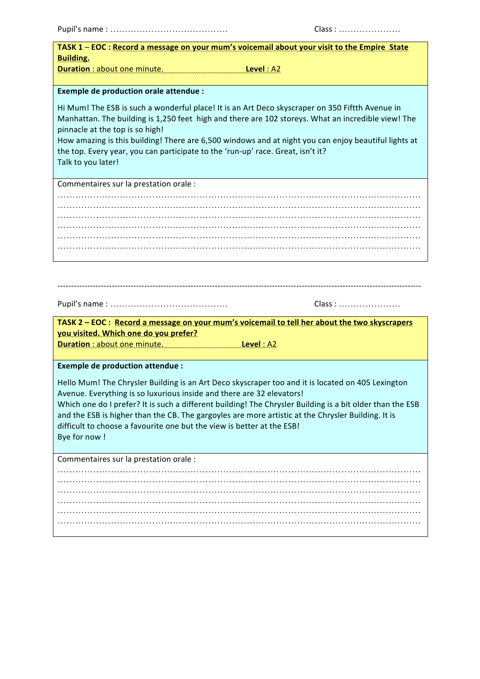|--|--|--|--|--|--|--|--|--|--|--|--|--|--|--|--|--|--|--|--|--|--|--|--|--|--|--|--|--|--|

| TASK 1 - EOC : Record a message on your mum's voicemail about your visit to the Empire State       |                                                                                                           |
|----------------------------------------------------------------------------------------------------|-----------------------------------------------------------------------------------------------------------|
| <b>Building.</b>                                                                                   |                                                                                                           |
| Duration: about one minute. Level: A2                                                              |                                                                                                           |
| <b>Exemple de production orale attendue :</b>                                                      |                                                                                                           |
|                                                                                                    |                                                                                                           |
| Hi Mum! The ESB is such a wonderful place! It is an Art Deco skyscraper on 350 Fiftth Avenue in    |                                                                                                           |
|                                                                                                    | Manhattan. The building is 1,250 feet high and there are 102 storeys. What an incredible view! The        |
| pinnacle at the top is so high!                                                                    |                                                                                                           |
|                                                                                                    | How amazing is this building! There are 6,500 windows and at night you can enjoy beautiful lights at      |
| the top. Every year, you can participate to the 'run-up' race. Great, isn't it?                    |                                                                                                           |
| Talk to you later!                                                                                 |                                                                                                           |
|                                                                                                    |                                                                                                           |
| Commentaires sur la prestation orale :                                                             |                                                                                                           |
|                                                                                                    |                                                                                                           |
|                                                                                                    |                                                                                                           |
|                                                                                                    |                                                                                                           |
|                                                                                                    |                                                                                                           |
|                                                                                                    |                                                                                                           |
|                                                                                                    |                                                                                                           |
|                                                                                                    |                                                                                                           |
|                                                                                                    |                                                                                                           |
|                                                                                                    |                                                                                                           |
|                                                                                                    |                                                                                                           |
|                                                                                                    |                                                                                                           |
|                                                                                                    | Class:                                                                                                    |
| TASK 2 - EOC : Record a message on your mum's voicemail to tell her about the two skyscrapers      |                                                                                                           |
| you visited. Which one do you prefer?                                                              |                                                                                                           |
| Duration : about one minute.                                                                       | Level : A2                                                                                                |
|                                                                                                    |                                                                                                           |
| <b>Exemple de production attendue :</b>                                                            |                                                                                                           |
|                                                                                                    |                                                                                                           |
| Hello Mum! The Chrysler Building is an Art Deco skyscraper too and it is located on 405 Lexington  |                                                                                                           |
| Avenue. Everything is so luxurious inside and there are 32 elevators!                              |                                                                                                           |
|                                                                                                    | Which one do I prefer? It is such a different building! The Chrysler Building is a bit older than the ESB |
| and the ESB is higher than the CB. The gargoyles are more artistic at the Chrysler Building. It is |                                                                                                           |
| difficult to choose a favourite one but the view is better at the ESB!                             |                                                                                                           |
| Bye for now !                                                                                      |                                                                                                           |
|                                                                                                    |                                                                                                           |
| Commentaires sur la prestation orale :                                                             |                                                                                                           |
|                                                                                                    |                                                                                                           |
|                                                                                                    |                                                                                                           |
|                                                                                                    |                                                                                                           |
|                                                                                                    |                                                                                                           |
|                                                                                                    |                                                                                                           |
|                                                                                                    |                                                                                                           |